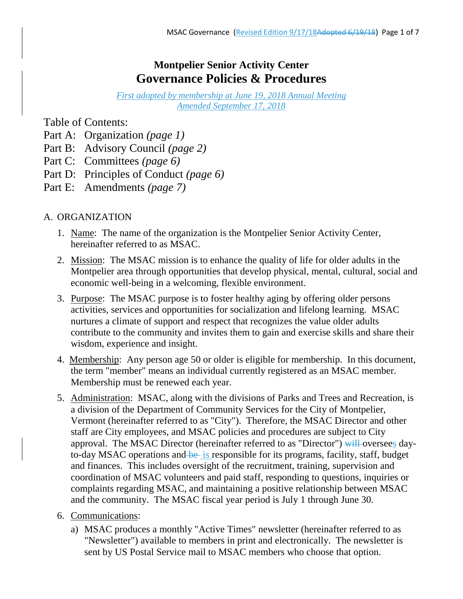# **Montpelier Senior Activity Center Governance Policies & Procedures**

*First adopted by membership at June 19, 2018 Annual Meeting Amended September 17, 2018*

Table of Contents:

- Part A: Organization *(page 1)*
- Part B: Advisory Council *(page 2)*
- Part C: Committees *(page 6)*
- Part D: Principles of Conduct *(page 6)*
- Part E: Amendments *(page 7)*

# A. ORGANIZATION

- 1. Name: The name of the organization is the Montpelier Senior Activity Center, hereinafter referred to as MSAC.
- 2. Mission: The MSAC mission is to enhance the quality of life for older adults in the Montpelier area through opportunities that develop physical, mental, cultural, social and economic well-being in a welcoming, flexible environment.
- 3. Purpose: The MSAC purpose is to foster healthy aging by offering older persons activities, services and opportunities for socialization and lifelong learning. MSAC nurtures a climate of support and respect that recognizes the value older adults contribute to the community and invites them to gain and exercise skills and share their wisdom, experience and insight.
- 4. Membership: Any person age 50 or older is eligible for membership. In this document, the term "member" means an individual currently registered as an MSAC member. Membership must be renewed each year.
- 5. Administration: MSAC, along with the divisions of Parks and Trees and Recreation, is a division of the Department of Community Services for the City of Montpelier, Vermont (hereinafter referred to as "City"). Therefore, the MSAC Director and other staff are City employees, and MSAC policies and procedures are subject to City approval. The MSAC Director (hereinafter referred to as "Director") will oversees dayto-day MSAC operations and  $be$  is responsible for its programs, facility, staff, budget and finances. This includes oversight of the recruitment, training, supervision and coordination of MSAC volunteers and paid staff, responding to questions, inquiries or complaints regarding MSAC, and maintaining a positive relationship between MSAC and the community. The MSAC fiscal year period is July 1 through June 30.
- 6. Communications:
	- a) MSAC produces a monthly "Active Times" newsletter (hereinafter referred to as "Newsletter") available to members in print and electronically. The newsletter is sent by US Postal Service mail to MSAC members who choose that option.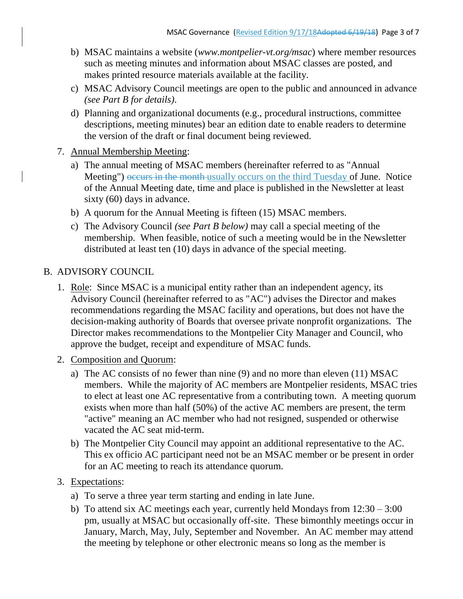- b) MSAC maintains a website (*www.montpelier-vt.org/msac*) where member resources such as meeting minutes and information about MSAC classes are posted, and makes printed resource materials available at the facility.
- c) MSAC Advisory Council meetings are open to the public and announced in advance *(see Part B for details)*.
- d) Planning and organizational documents (e.g., procedural instructions, committee descriptions, meeting minutes) bear an edition date to enable readers to determine the version of the draft or final document being reviewed.
- 7. Annual Membership Meeting:
	- a) The annual meeting of MSAC members (hereinafter referred to as "Annual Meeting") occurs in the month usually occurs on the third Tuesday of June. Notice of the Annual Meeting date, time and place is published in the Newsletter at least sixty (60) days in advance.
	- b) A quorum for the Annual Meeting is fifteen (15) MSAC members.
	- c) The Advisory Council *(see Part B below)* may call a special meeting of the membership. When feasible, notice of such a meeting would be in the Newsletter distributed at least ten (10) days in advance of the special meeting.

#### B. ADVISORY COUNCIL

- 1. Role: Since MSAC is a municipal entity rather than an independent agency, its Advisory Council (hereinafter referred to as "AC") advises the Director and makes recommendations regarding the MSAC facility and operations, but does not have the decision-making authority of Boards that oversee private nonprofit organizations. The Director makes recommendations to the Montpelier City Manager and Council, who approve the budget, receipt and expenditure of MSAC funds.
- 2. Composition and Quorum:
	- a) The AC consists of no fewer than nine (9) and no more than eleven (11) MSAC members. While the majority of AC members are Montpelier residents, MSAC tries to elect at least one AC representative from a contributing town. A meeting quorum exists when more than half (50%) of the active AC members are present, the term "active" meaning an AC member who had not resigned, suspended or otherwise vacated the AC seat mid-term.
	- b) The Montpelier City Council may appoint an additional representative to the AC. This ex officio AC participant need not be an MSAC member or be present in order for an AC meeting to reach its attendance quorum.

### 3. Expectations:

- a) To serve a three year term starting and ending in late June.
- b) To attend six AC meetings each year, currently held Mondays from 12:30 3:00 pm, usually at MSAC but occasionally off-site. These bimonthly meetings occur in January, March, May, July, September and November. An AC member may attend the meeting by telephone or other electronic means so long as the member is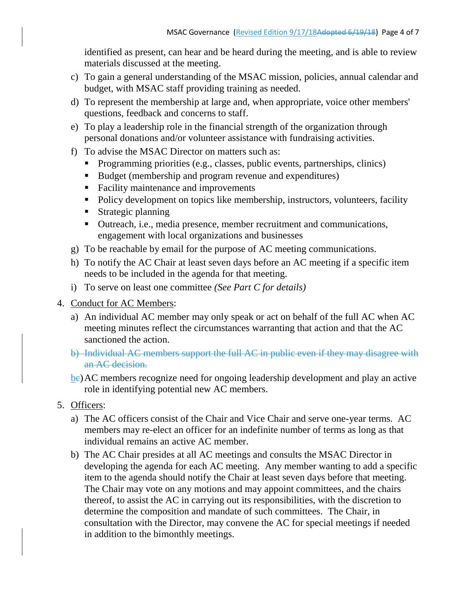identified as present, can hear and be heard during the meeting, and is able to review materials discussed at the meeting.

- c) To gain a general understanding of the MSAC mission, policies, annual calendar and budget, with MSAC staff providing training as needed.
- d) To represent the membership at large and, when appropriate, voice other members' questions, feedback and concerns to staff.
- e) To play a leadership role in the financial strength of the organization through personal donations and/or volunteer assistance with fundraising activities.
- f) To advise the MSAC Director on matters such as:
	- Programming priorities (e.g., classes, public events, partnerships, clinics)
	- Budget (membership and program revenue and expenditures)
	- Facility maintenance and improvements
	- Policy development on topics like membership, instructors, volunteers, facility
	- **Strategic planning**
	- Outreach, i.e., media presence, member recruitment and communications, engagement with local organizations and businesses
- g) To be reachable by email for the purpose of AC meeting communications.
- h) To notify the AC Chair at least seven days before an AC meeting if a specific item needs to be included in the agenda for that meeting.
- i) To serve on least one committee *(See Part C for details)*
- 4. Conduct for AC Members:
	- a) An individual AC member may only speak or act on behalf of the full AC when AC meeting minutes reflect the circumstances warranting that action and that the AC sanctioned the action.
	- b) Individual AC members support the full AC in public even if they may disagree with an AC decision.
	- be) AC members recognize need for ongoing leadership development and play an active role in identifying potential new AC members.
- 5. Officers:
	- a) The AC officers consist of the Chair and Vice Chair and serve one-year terms. AC members may re-elect an officer for an indefinite number of terms as long as that individual remains an active AC member.
	- b) The AC Chair presides at all AC meetings and consults the MSAC Director in developing the agenda for each AC meeting. Any member wanting to add a specific item to the agenda should notify the Chair at least seven days before that meeting. The Chair may vote on any motions and may appoint committees, and the chairs thereof, to assist the AC in carrying out its responsibilities, with the discretion to determine the composition and mandate of such committees. The Chair, in consultation with the Director, may convene the AC for special meetings if needed in addition to the bimonthly meetings.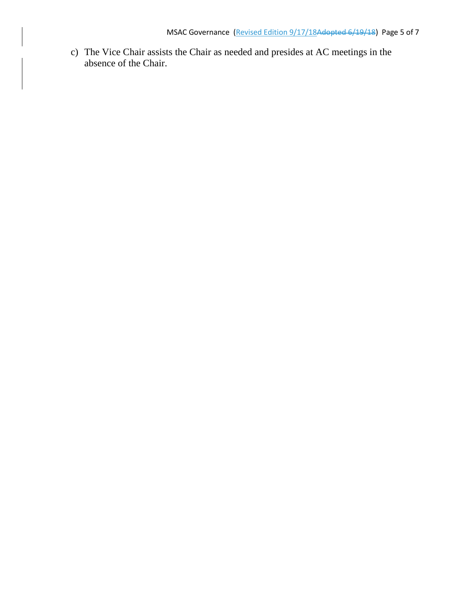c) The Vice Chair assists the Chair as needed and presides at AC meetings in the absence of the Chair.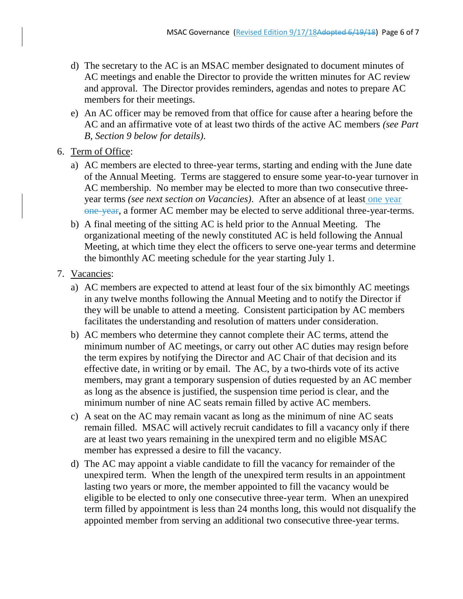- d) The secretary to the AC is an MSAC member designated to document minutes of AC meetings and enable the Director to provide the written minutes for AC review and approval. The Director provides reminders, agendas and notes to prepare AC members for their meetings.
- e) An AC officer may be removed from that office for cause after a hearing before the AC and an affirmative vote of at least two thirds of the active AC members *(see Part B, Section 9 below for details)*.
- 6. Term of Office:
	- a) AC members are elected to three-year terms, starting and ending with the June date of the Annual Meeting. Terms are staggered to ensure some year-to-year turnover in AC membership. No member may be elected to more than two consecutive threeyear terms *(see next section on Vacancies)*. After an absence of at least one year one-year, a former AC member may be elected to serve additional three-year-terms.
	- b) A final meeting of the sitting AC is held prior to the Annual Meeting. The organizational meeting of the newly constituted AC is held following the Annual Meeting, at which time they elect the officers to serve one-year terms and determine the bimonthly AC meeting schedule for the year starting July 1.
- 7. Vacancies:
	- a) AC members are expected to attend at least four of the six bimonthly AC meetings in any twelve months following the Annual Meeting and to notify the Director if they will be unable to attend a meeting. Consistent participation by AC members facilitates the understanding and resolution of matters under consideration.
	- b) AC members who determine they cannot complete their AC terms, attend the minimum number of AC meetings, or carry out other AC duties may resign before the term expires by notifying the Director and AC Chair of that decision and its effective date, in writing or by email. The AC, by a two-thirds vote of its active members, may grant a temporary suspension of duties requested by an AC member as long as the absence is justified, the suspension time period is clear, and the minimum number of nine AC seats remain filled by active AC members.
	- c) A seat on the AC may remain vacant as long as the minimum of nine AC seats remain filled. MSAC will actively recruit candidates to fill a vacancy only if there are at least two years remaining in the unexpired term and no eligible MSAC member has expressed a desire to fill the vacancy.
	- d) The AC may appoint a viable candidate to fill the vacancy for remainder of the unexpired term. When the length of the unexpired term results in an appointment lasting two years or more, the member appointed to fill the vacancy would be eligible to be elected to only one consecutive three-year term. When an unexpired term filled by appointment is less than 24 months long, this would not disqualify the appointed member from serving an additional two consecutive three-year terms.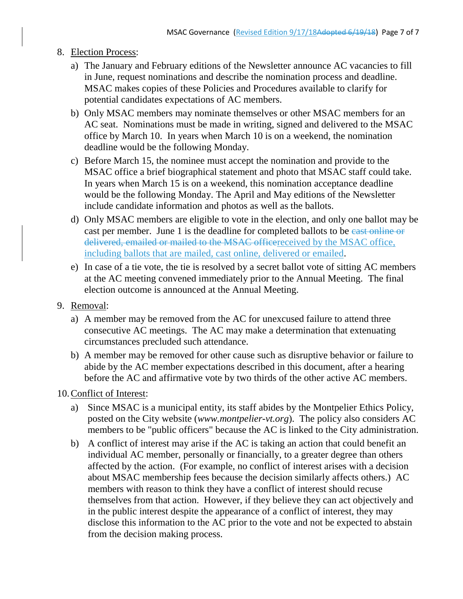- 8. Election Process:
	- a) The January and February editions of the Newsletter announce AC vacancies to fill in June, request nominations and describe the nomination process and deadline. MSAC makes copies of these Policies and Procedures available to clarify for potential candidates expectations of AC members.
	- b) Only MSAC members may nominate themselves or other MSAC members for an AC seat. Nominations must be made in writing, signed and delivered to the MSAC office by March 10. In years when March 10 is on a weekend, the nomination deadline would be the following Monday.
	- c) Before March 15, the nominee must accept the nomination and provide to the MSAC office a brief biographical statement and photo that MSAC staff could take. In years when March 15 is on a weekend, this nomination acceptance deadline would be the following Monday. The April and May editions of the Newsletter include candidate information and photos as well as the ballots.
	- d) Only MSAC members are eligible to vote in the election, and only one ballot may be cast per member. June 1 is the deadline for completed ballots to be east online or delivered, emailed or mailed to the MSAC officereceived by the MSAC office, including ballots that are mailed, cast online, delivered or emailed.
	- e) In case of a tie vote, the tie is resolved by a secret ballot vote of sitting AC members at the AC meeting convened immediately prior to the Annual Meeting. The final election outcome is announced at the Annual Meeting.
- 9. Removal:
	- a) A member may be removed from the AC for unexcused failure to attend three consecutive AC meetings. The AC may make a determination that extenuating circumstances precluded such attendance.
	- b) A member may be removed for other cause such as disruptive behavior or failure to abide by the AC member expectations described in this document, after a hearing before the AC and affirmative vote by two thirds of the other active AC members.

10.Conflict of Interest:

- a) Since MSAC is a municipal entity, its staff abides by the Montpelier Ethics Policy, posted on the City website (*www.montpelier-vt.org*). The policy also considers AC members to be "public officers" because the AC is linked to the City administration.
- b) A conflict of interest may arise if the AC is taking an action that could benefit an individual AC member, personally or financially, to a greater degree than others affected by the action. (For example, no conflict of interest arises with a decision about MSAC membership fees because the decision similarly affects others.) AC members with reason to think they have a conflict of interest should recuse themselves from that action. However, if they believe they can act objectively and in the public interest despite the appearance of a conflict of interest, they may disclose this information to the AC prior to the vote and not be expected to abstain from the decision making process.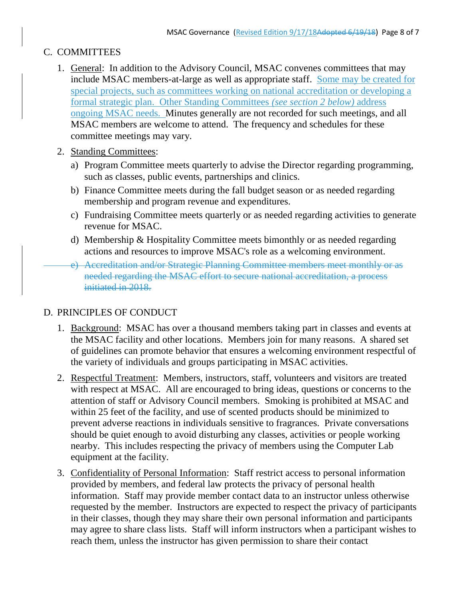# C. COMMITTEES

- 1. General: In addition to the Advisory Council, MSAC convenes committees that may include MSAC members-at-large as well as appropriate staff. Some may be created for special projects, such as committees working on national accreditation or developing a formal strategic plan. Other Standing Committees *(see section 2 below)* address ongoing MSAC needs. Minutes generally are not recorded for such meetings, and all MSAC members are welcome to attend. The frequency and schedules for these committee meetings may vary.
- 2. Standing Committees:
	- a) Program Committee meets quarterly to advise the Director regarding programming, such as classes, public events, partnerships and clinics.
	- b) Finance Committee meets during the fall budget season or as needed regarding membership and program revenue and expenditures.
	- c) Fundraising Committee meets quarterly or as needed regarding activities to generate revenue for MSAC.
	- d) Membership & Hospitality Committee meets bimonthly or as needed regarding actions and resources to improve MSAC's role as a welcoming environment.
	- e) Accreditation and/or Strategic Planning Committee members meet monthly or as needed regarding the MSAC effort to secure national accreditation, a process initiated in 2018.

# D. PRINCIPLES OF CONDUCT

- 1. Background: MSAC has over a thousand members taking part in classes and events at the MSAC facility and other locations. Members join for many reasons. A shared set of guidelines can promote behavior that ensures a welcoming environment respectful of the variety of individuals and groups participating in MSAC activities.
- 2. Respectful Treatment: Members, instructors, staff, volunteers and visitors are treated with respect at MSAC. All are encouraged to bring ideas, questions or concerns to the attention of staff or Advisory Council members. Smoking is prohibited at MSAC and within 25 feet of the facility, and use of scented products should be minimized to prevent adverse reactions in individuals sensitive to fragrances. Private conversations should be quiet enough to avoid disturbing any classes, activities or people working nearby. This includes respecting the privacy of members using the Computer Lab equipment at the facility.
- 3. Confidentiality of Personal Information: Staff restrict access to personal information provided by members, and federal law protects the privacy of personal health information. Staff may provide member contact data to an instructor unless otherwise requested by the member. Instructors are expected to respect the privacy of participants in their classes, though they may share their own personal information and participants may agree to share class lists. Staff will inform instructors when a participant wishes to reach them, unless the instructor has given permission to share their contact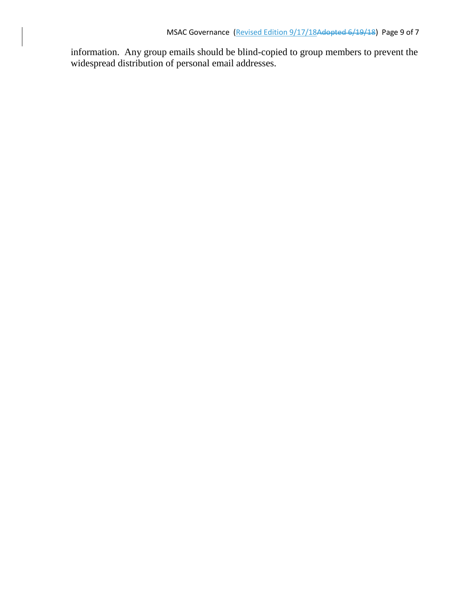information. Any group emails should be blind-copied to group members to prevent the widespread distribution of personal email addresses.